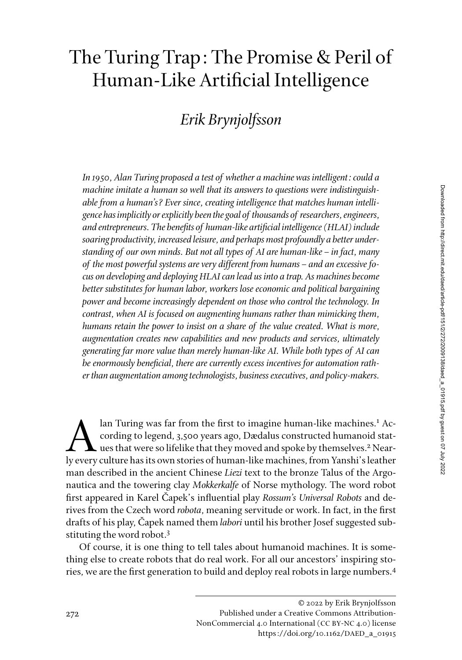# The Turing Trap: The Promise & Peril of Human-Like Artificial Intelligence

## *Erik Brynjolfsson*

*In 1950, Alan Turing proposed a test of whether a machine was intelligent: could a machine imitate a human so well that its answers to questions were indistinguishable from a human's? Ever since, creating intelligence that matches human intelligence has implicitly or explicitly been the goal of thousands of researchers, engineers, and entrepreneurs. The benefits of human-like artificial intelligence (HLAI) include soaring productivity, increased leisure, and perhaps most profoundly a better understanding of our own minds. But not all types of AI are human-like–in fact, many of the most powerful systems are very different from humans–and an excessive focus on developing and deploying HLAI can lead us into a trap. As machines become better substitutes for human labor, workers lose economic and political bargaining power and become increasingly dependent on those who control the technology. In contrast, when AI is focused on augmenting humans rather than mimicking them, humans retain the power to insist on a share of the value created. What is more, augmentation creates new capabilities and new products and services, ultimately generating far more value than merely human-like AI. While both types of AI can be enormously beneficial, there are currently excess incentives for automation rather than augmentation among technologists, business executives, and policy-makers.*

an Turing was far from the first to imagine human-like machines.<sup>1</sup><br>cording to legend, 3,500 years ago, Dædalus constructed humanoid s<br>use that were so lifelike that they moved and spoke by themselves.<sup>2</sup> N<br>ly every cultu lan Turing was far from the first to imagine human-like machines.<sup>1</sup> According to legend, 3,500 years ago, Dædalus constructed humanoid statues that were so lifelike that they moved and spoke by themselves.<sup>2</sup> Nearly every culture has its own stories of human-like machines, from Yanshi's leather man described in the ancient Chinese *Liezi* text to the bronze Talus of the Argonautica and the towering clay *Mokkerkalfe* of Norse mythology. The word robot first appeared in Karel Čapek's influential play *Rossum's Universal Robots* and derives from the Czech word *robota*, meaning servitude or work. In fact, in the first drafts of his play, Čapek named them *labori* until his brother Josef suggested substituting the word robot.<sup>3</sup>

Of course, it is one thing to tell tales about humanoid machines. It is something else to create robots that do real work. For all our ancestors' inspiring stories, we are the first generation to build and deploy real robots in large numbers.4

<sup>© 2022</sup> by Erik Brynjolfsson Published under a Creative Commons Attribution-NonCommercial 4.0 International (CC BY-NC 4.0) license https://doi.org/10.1162/DAED\_a\_01915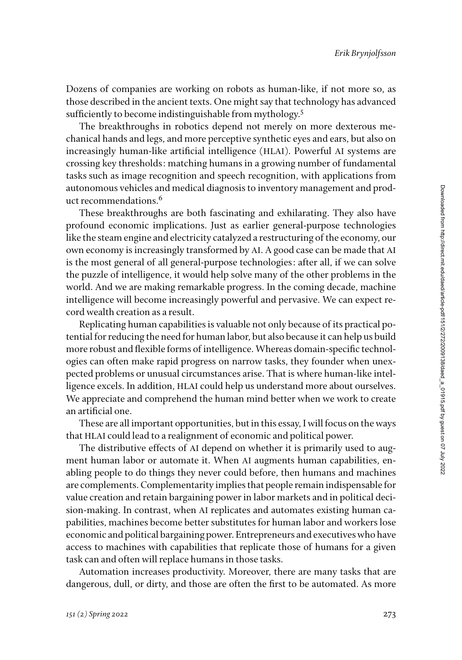Dozens of companies are working on robots as human-like, if not more so, as those described in the ancient texts. One might say that technology has advanced sufficiently to become indistinguishable from mythology.<sup>5</sup>

The breakthroughs in robotics depend not merely on more dexterous mechanical hands and legs, and more perceptive synthetic eyes and ears, but also on increasingly human-like artificial intelligence (HLAI). Powerful AI systems are crossing key thresholds: matching humans in a growing number of fundamental tasks such as image recognition and speech recognition, with applications from autonomous vehicles and medical diagnosis to inventory management and product recommendations.<sup>6</sup>

These breakthroughs are both fascinating and exhilarating. They also have profound economic implications. Just as earlier general-purpose technologies like the steam engine and electricity catalyzed a restructuring of the economy, our own economy is increasingly transformed by AI. A good case can be made that AI is the most general of all general-purpose technologies: after all, if we can solve the puzzle of intelligence, it would help solve many of the other problems in the world. And we are making remarkable progress. In the coming decade, machine intelligence will become increasingly powerful and pervasive. We can expect record wealth creation as a result.

Replicating human capabilities is valuable not only because of its practical potential for reducing the need for human labor, but also because it can help us build more robust and flexible forms of intelligence. Whereas domain-specific technologies can often make rapid progress on narrow tasks, they founder when unexpected problems or unusual circumstances arise. That is where human-like intelligence excels. In addition, HLAI could help us understand more about ourselves. We appreciate and comprehend the human mind better when we work to create an artificial one.

These are all important opportunities, but in this essay, I will focus on the ways that HLAI could lead to a realignment of economic and political power.

The distributive effects of AI depend on whether it is primarily used to augment human labor or automate it. When AI augments human capabilities, enabling people to do things they never could before, then humans and machines are complements. Complementarity implies that people remain indispensable for value creation and retain bargaining power in labor markets and in political decision-making. In contrast, when AI replicates and automates existing human capabilities, machines become better substitutes for human labor and workers lose economic and political bargaining power. Entrepreneurs and executives who have access to machines with capabilities that replicate those of humans for a given task can and often will replace humans in those tasks.

Automation increases productivity. Moreover, there are many tasks that are dangerous, dull, or dirty, and those are often the first to be automated. As more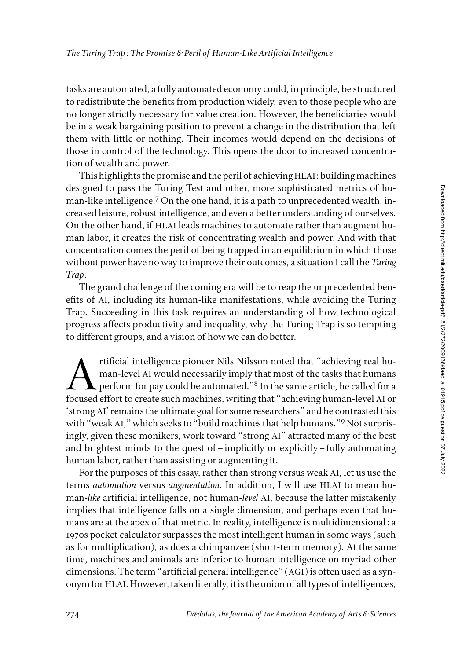tasks are automated, a fully automated economy could, in principle, be structured to redistribute the benefits from production widely, even to those people who are no longer strictly necessary for value creation. However, the beneficiaries would be in a weak bargaining position to prevent a change in the distribution that left them with little or nothing. Their incomes would depend on the decisions of those in control of the technology. This opens the door to increased concentration of wealth and power.

This highlights the promise and the peril of achieving HLAI: building machines designed to pass the Turing Test and other, more sophisticated metrics of human-like intelligence.<sup>7</sup> On the one hand, it is a path to unprecedented wealth, increased leisure, robust intelligence, and even a better understanding of ourselves. On the other hand, if HLAI leads machines to automate rather than augment human labor, it creates the risk of concentrating wealth and power. And with that concentration comes the peril of being trapped in an equilibrium in which those without power have no way to improve their outcomes, a situation I call the *Turing Trap*.

The grand challenge of the coming era will be to reap the unprecedented benefits of AI, including its human-like manifestations, while avoiding the Turing Trap. Succeeding in this task requires an understanding of how technological progress affects productivity and inequality, why the Turing Trap is so tempting to different groups, and a vision of how we can do better.

tificial intelligence pioneer Nils Nilsson noted that "achieving real human-level AI would necessarily imply that most of the tasks that humans<br>perform for pay could be automated."<sup>8</sup> In the same article, he called for a<br>f man-level AI would necessarily imply that most of the tasks that humans  $\blacktriangle$  perform for pay could be automated." $^8$  In the same article, he called for a focused effort to create such machines, writing that "achieving human-level AI or 'strong AI' remains the ultimate goal for some researchers" and he contrasted this with "weak AI," which seeks to "build machines that help humans."9 Not surprisingly, given these monikers, work toward "strong AI" attracted many of the best and brightest minds to the quest of–implicitly or explicitly–fully automating human labor, rather than assisting or augmenting it.

For the purposes of this essay, rather than strong versus weak AI, let us use the terms *automation* versus *augmentation*. In addition, I will use HLAI to mean human-*like* artificial intelligence, not human-*level* AI, because the latter mistakenly implies that intelligence falls on a single dimension, and perhaps even that humans are at the apex of that metric. In reality, intelligence is multidimensional: a 1970s pocket calculator surpasses the most intelligent human in some ways (such as for multiplication), as does a chimpanzee (short-term memory). At the same time, machines and animals are inferior to human intelligence on myriad other dimensions. The term "artificial general intelligence" (AGI) is often used as a synonym for HLAI. However, taken literally, it is the union of all types of intelligences,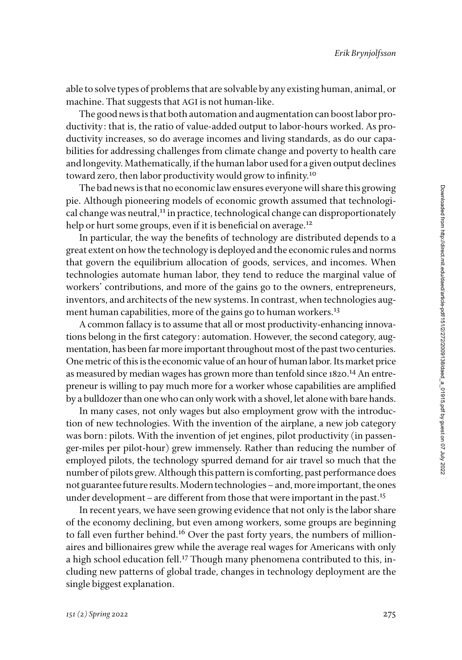able to solve types of problems that are solvable by any existing human, animal, or machine. That suggests that AGI is not human-like.

The good news is that both automation and augmentation can boost labor productivity: that is, the ratio of value-added output to labor-hours worked. As productivity increases, so do average incomes and living standards, as do our capabilities for addressing challenges from climate change and poverty to health care and longevity. Mathematically, if the human labor used for a given output declines toward zero, then labor productivity would grow to infinity.<sup>10</sup>

The bad news is that no economic law ensures everyone will share this growing pie. Although pioneering models of economic growth assumed that technological change was neutral, $11$  in practice, technological change can disproportionately help or hurt some groups, even if it is beneficial on average.<sup>12</sup>

In particular, the way the benefits of technology are distributed depends to a great extent on how the technology is deployed and the economic rules and norms that govern the equilibrium allocation of goods, services, and incomes. When technologies automate human labor, they tend to reduce the marginal value of workers' contributions, and more of the gains go to the owners, entrepreneurs, inventors, and architects of the new systems. In contrast, when technologies augment human capabilities, more of the gains go to human workers.<sup>13</sup>

A common fallacy is to assume that all or most productivity-enhancing innovations belong in the first category: automation. However, the second category, augmentation, has been far more important throughout most of the past two centuries. One metric of this is the economic value of an hour of human labor. Its market price as measured by median wages has grown more than tenfold since 1820.<sup>14</sup> An entrepreneur is willing to pay much more for a worker whose capabilities are amplified by a bulldozer than one who can only work with a shovel, let alone with bare hands.

In many cases, not only wages but also employment grow with the introduction of new technologies. With the invention of the airplane, a new job category was born: pilots. With the invention of jet engines, pilot productivity (in passenger-miles per pilot-hour) grew immensely. Rather than reducing the number of employed pilots, the technology spurred demand for air travel so much that the number of pilots grew. Although this pattern is comforting, past performance does not guarantee future results. Modern technologies–and, more important, the ones under development – are different from those that were important in the past.<sup>15</sup>

In recent years, we have seen growing evidence that not only is the labor share of the economy declining, but even among workers, some groups are beginning to fall even further behind.<sup>16</sup> Over the past forty years, the numbers of millionaires and billionaires grew while the average real wages for Americans with only a high school education fell.17 Though many phenomena contributed to this, including new patterns of global trade, changes in technology deployment are the single biggest explanation.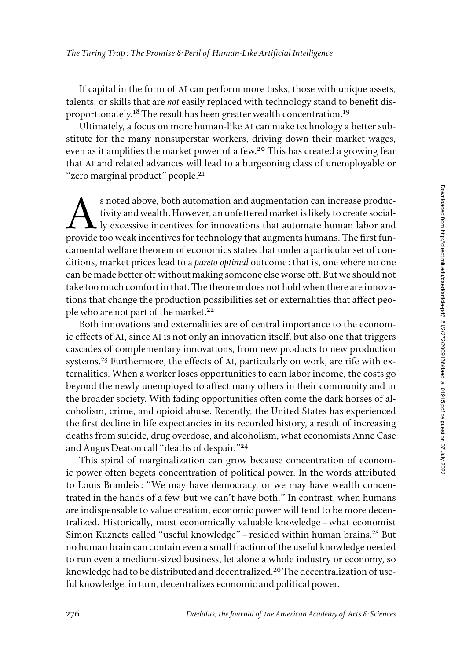If capital in the form of AI can perform more tasks, those with unique assets, talents, or skills that are *not* easily replaced with technology stand to benefit disproportionately.<sup>18</sup> The result has been greater wealth concentration.<sup>19</sup>

Ultimately, a focus on more human-like AI can make technology a better substitute for the many nonsuperstar workers, driving down their market wages, even as it amplifies the market power of a few.<sup>20</sup> This has created a growing fear that AI and related advances will lead to a burgeoning class of unemployable or "zero marginal product" people.<sup>21</sup>

s noted above, both automation and augmentation can increase productivity and wealth. However, an unfettered market is likely to create social-<br>ly excessive incentives for innovations that automate human labor and<br>provide tivity and wealth. However, an unfettered market is likely to create socially excessive incentives for innovations that automate human labor and provide too weak incentives for technology that augments humans. The first fundamental welfare theorem of economics states that under a particular set of conditions, market prices lead to a *pareto optimal* outcome: that is, one where no one can be made better off without making someone else worse off. But we should not take too much comfort in that. The theorem does not hold when there are innovations that change the production possibilities set or externalities that affect people who are not part of the market.<sup>22</sup>

Both innovations and externalities are of central importance to the economic effects of AI, since AI is not only an innovation itself, but also one that triggers cascades of complementary innovations, from new products to new production systems.<sup>23</sup> Furthermore, the effects of AI, particularly on work, are rife with externalities. When a worker loses opportunities to earn labor income, the costs go beyond the newly unemployed to affect many others in their community and in the broader society. With fading opportunities often come the dark horses of alcoholism, crime, and opioid abuse. Recently, the United States has experienced the first decline in life expectancies in its recorded history, a result of increasing deaths from suicide, drug overdose, and alcoholism, what economists Anne Case and Angus Deaton call "deaths of despair."<sup>24</sup>

This spiral of marginalization can grow because concentration of economic power often begets concentration of political power. In the words attributed to Louis Brandeis: "We may have democracy, or we may have wealth concentrated in the hands of a few, but we can't have both." In contrast, when humans are indispensable to value creation, economic power will tend to be more decentralized. Historically, most economically valuable knowledge–what economist Simon Kuznets called "useful knowledge"–resided within human brains.25 But no human brain can contain even a small fraction of the useful knowledge needed to run even a medium-sized business, let alone a whole industry or economy, so knowledge had to be distributed and decentralized.<sup>26</sup> The decentralization of useful knowledge, in turn, decentralizes economic and political power.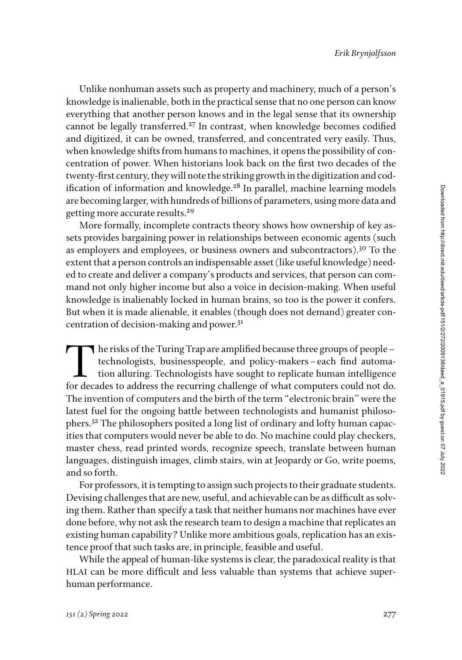Unlike nonhuman assets such as property and machinery, much of a person's knowledge is inalienable, both in the practical sense that no one person can know everything that another person knows and in the legal sense that its ownership cannot be legally transferred.<sup>27</sup> In contrast, when knowledge becomes codified and digitized, it can be owned, transferred, and concentrated very easily. Thus, when knowledge shifts from humans to machines, it opens the possibility of concentration of power. When historians look back on the first two decades of the twenty-first century, they will note the striking growth in the digitization and codification of information and knowledge.<sup>28</sup> In parallel, machine learning models are becoming larger, with hundreds of billions of parameters, using more data and getting more accurate results.<sup>29</sup>

More formally, incomplete contracts theory shows how ownership of key assets provides bargaining power in relationships between economic agents (such as employers and employees, or business owners and subcontractors).30 To the extent that a person controls an indispensable asset (like useful knowledge) needed to create and deliver a company's products and services, that person can command not only higher income but also a voice in decision-making. When useful knowledge is inalienably locked in human brains, so too is the power it confers. But when it is made alienable, it enables (though does not demand) greater concentration of decision-making and power.<sup>31</sup>

 $\blacksquare$  he risks of the Turing Trap are amplified because three groups of people – technologists, businesspeople, and policy-makers–each find automation alluring. Technologists have sought to replicate human intelligence for decades to address the recurring challenge of what computers could not do. The invention of computers and the birth of the term "electronic brain" were the latest fuel for the ongoing battle between technologists and humanist philosophers.32 The philosophers posited a long list of ordinary and lofty human capacities that computers would never be able to do. No machine could play checkers, master chess, read printed words, recognize speech, translate between human languages, distinguish images, climb stairs, win at Jeopardy or Go, write poems, and so forth.

For professors, it is tempting to assign such projects to their graduate students. Devising challenges that are new, useful, and achievable can be as difficult as solving them. Rather than specify a task that neither humans nor machines have ever done before, why not ask the research team to design a machine that replicates an existing human capability? Unlike more ambitious goals, replication has an existence proof that such tasks are, in principle, feasible and useful.

While the appeal of human-like systems is clear, the paradoxical reality is that HLAI can be more difficult and less valuable than systems that achieve superhuman performance.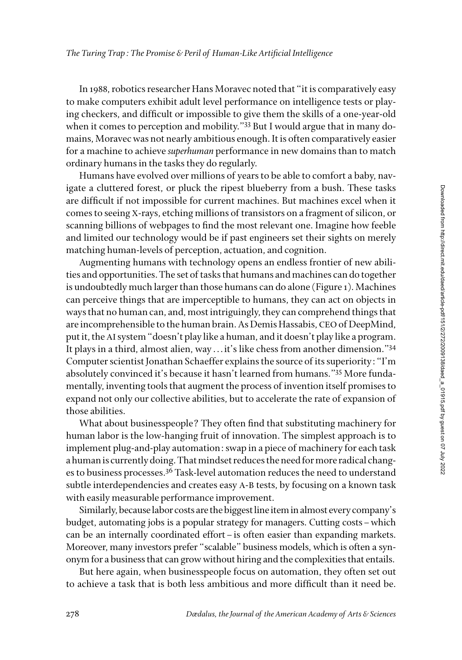In 1988, robotics researcher Hans Moravec noted that "it is comparatively easy to make computers exhibit adult level performance on intelligence tests or playing checkers, and difficult or impossible to give them the skills of a one-year-old when it comes to perception and mobility."<sup>33</sup> But I would argue that in many domains, Moravec was not nearly ambitious enough. It is often comparatively easier for a machine to achieve *superhuman* performance in new domains than to match ordinary humans in the tasks they do regularly.

Humans have evolved over millions of years to be able to comfort a baby, navigate a cluttered forest, or pluck the ripest blueberry from a bush. These tasks are difficult if not impossible for current machines. But machines excel when it comes to seeing X-rays, etching millions of transistors on a fragment of silicon, or scanning billions of webpages to find the most relevant one. Imagine how feeble and limited our technology would be if past engineers set their sights on merely matching human-levels of perception, actuation, and cognition.

Augmenting humans with technology opens an endless frontier of new abilities and opportunities. The set of tasks that humans and machines can do together is undoubtedly much larger than those humans can do alone (Figure 1). Machines can perceive things that are imperceptible to humans, they can act on objects in ways that no human can, and, most intriguingly, they can comprehend things that are incomprehensible to the human brain. As Demis Hassabis, CEO of DeepMind, put it, the AI system "doesn't play like a human, and it doesn't play like a program. It plays in a third, almost alien, way ... it's like chess from another dimension."34 Computer scientist Jonathan Schaeffer explains the source of its superiority: "I'm absolutely convinced it's because it hasn't learned from humans."35 More fundamentally, inventing tools that augment the process of invention itself promises to expand not only our collective abilities, but to accelerate the rate of expansion of those abilities.

What about businesspeople? They often find that substituting machinery for human labor is the low-hanging fruit of innovation. The simplest approach is to implement plug-and-play automation: swap in a piece of machinery for each task a human is currently doing. That mindset reduces the need for more radical changes to business processes.<sup>36</sup> Task-level automation reduces the need to understand subtle interdependencies and creates easy A-B tests, by focusing on a known task with easily measurable performance improvement.

Similarly, because labor costs are the biggest line item in almost every company's budget, automating jobs is a popular strategy for managers. Cutting costs–which can be an internally coordinated effort–is often easier than expanding markets. Moreover, many investors prefer "scalable" business models, which is often a synonym for a business that can grow without hiring and the complexities that entails.

But here again, when businesspeople focus on automation, they often set out to achieve a task that is both less ambitious and more difficult than it need be.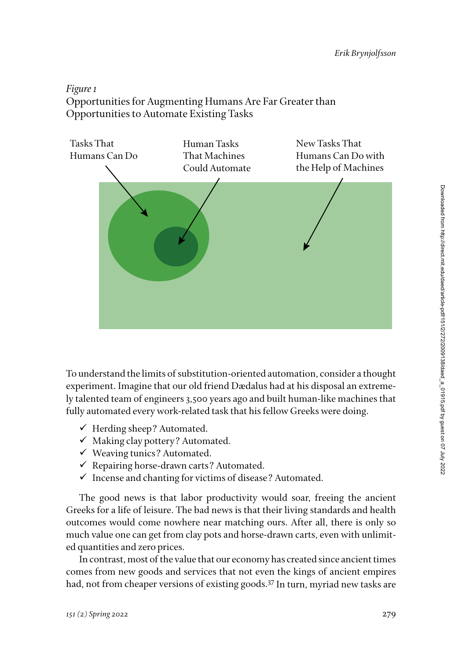### *Figure 1* Opportunities for Augmenting Humans Are Far Greater than Opportunities to Automate Existing Tasks



To understand the limits of substitution-oriented automation, consider a thought experiment. Imagine that our old friend Dædalus had at his disposal an extremely talented team of engineers 3,500 years ago and built human-like machines that fully automated every work-related task that his fellow Greeks were doing.

- $\checkmark$  Herding sheep? Automated.
- $\checkmark$  Making clay pottery? Automated.
- $\checkmark$  Weaving tunics? Automated.
- $\checkmark$  Repairing horse-drawn carts? Automated.
- $\checkmark$  Incense and chanting for victims of disease? Automated.

The good news is that labor productivity would soar, freeing the ancient Greeks for a life of leisure. The bad news is that their living standards and health outcomes would come nowhere near matching ours. After all, there is only so much value one can get from clay pots and horse-drawn carts, even with unlimited quantities and zero prices.

In contrast, most of the value that our economy has created since ancient times comes from new goods and services that not even the kings of ancient empires had, not from cheaper versions of existing goods.37 In turn, myriad new tasks are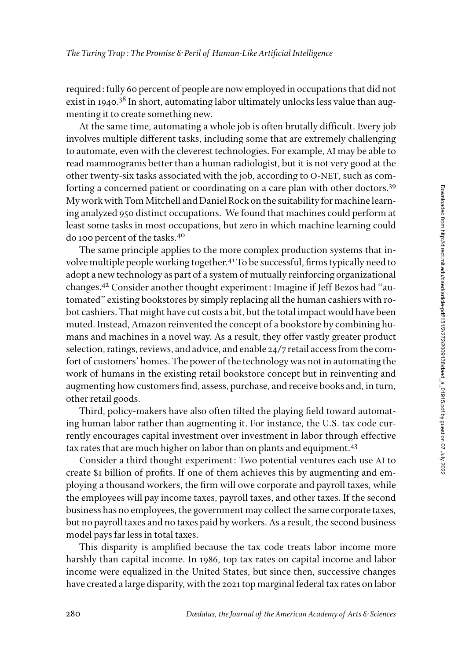required: fully 60 percent of people are now employed in occupations that did not exist in 1940.<sup>38</sup> In short, automating labor ultimately unlocks less value than augmenting it to create something new.

At the same time, automating a whole job is often brutally difficult. Every job involves multiple different tasks, including some that are extremely challenging to automate, even with the cleverest technologies. For example, AI may be able to read mammograms better than a human radiologist, but it is not very good at the other twenty-six tasks associated with the job, according to O-NET, such as comforting a concerned patient or coordinating on a care plan with other doctors.39 My work with Tom Mitchell and Daniel Rock on the suitability for machine learning analyzed 950 distinct occupations. We found that machines could perform at least some tasks in most occupations, but zero in which machine learning could do 100 percent of the tasks.40

The same principle applies to the more complex production systems that involve multiple people working together.41 To be successful, firms typically need to adopt a new technology as part of a system of mutually reinforcing organizational changes.42 Consider another thought experiment: Imagine if Jeff Bezos had "automated" existing bookstores by simply replacing all the human cashiers with robot cashiers. That might have cut costs a bit, but the total impact would have been muted. Instead, Amazon reinvented the concept of a bookstore by combining humans and machines in a novel way. As a result, they offer vastly greater product selection, ratings, reviews, and advice, and enable 24/7 retail access from the comfort of customers' homes. The power of the technology was not in automating the work of humans in the existing retail bookstore concept but in reinventing and augmenting how customers find, assess, purchase, and receive books and, in turn, other retail goods.

Third, policy-makers have also often tilted the playing field toward automating human labor rather than augmenting it. For instance, the U.S. tax code currently encourages capital investment over investment in labor through effective tax rates that are much higher on labor than on plants and equipment.<sup>43</sup>

Consider a third thought experiment: Two potential ventures each use AI to create \$1 billion of profits. If one of them achieves this by augmenting and employing a thousand workers, the firm will owe corporate and payroll taxes, while the employees will pay income taxes, payroll taxes, and other taxes. If the second business has no employees, the government may collect the same corporate taxes, but no payroll taxes and no taxes paid by workers. As a result, the second business model pays far less in total taxes.

This disparity is amplified because the tax code treats labor income more harshly than capital income. In 1986, top tax rates on capital income and labor income were equalized in the United States, but since then, successive changes have created a large disparity, with the 2021 top marginal federal tax rates on labor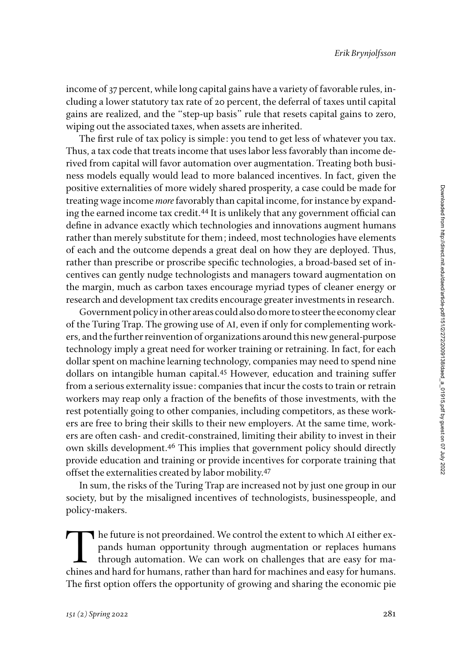income of 37 percent, while long capital gains have a variety of favorable rules, including a lower statutory tax rate of 20 percent, the deferral of taxes until capital gains are realized, and the "step-up basis" rule that resets capital gains to zero, wiping out the associated taxes, when assets are inherited.

The first rule of tax policy is simple: you tend to get less of whatever you tax. Thus, a tax code that treats income that uses labor less favorably than income derived from capital will favor automation over augmentation. Treating both business models equally would lead to more balanced incentives. In fact, given the positive externalities of more widely shared prosperity, a case could be made for treating wage income *more* favorably than capital income, for instance by expanding the earned income tax credit.44 It is unlikely that any government official can define in advance exactly which technologies and innovations augment humans rather than merely substitute for them; indeed, most technologies have elements of each and the outcome depends a great deal on how they are deployed. Thus, rather than prescribe or proscribe specific technologies, a broad-based set of incentives can gently nudge technologists and managers toward augmentation on the margin, much as carbon taxes encourage myriad types of cleaner energy or research and development tax credits encourage greater investments in research.

Government policy in other areas could also do more to steer the economy clear of the Turing Trap. The growing use of AI, even if only for complementing workers, and the further reinvention of organizations around this new general-purpose technology imply a great need for worker training or retraining. In fact, for each dollar spent on machine learning technology, companies may need to spend nine dollars on intangible human capital.45 However, education and training suffer from a serious externality issue: companies that incur the costs to train or retrain workers may reap only a fraction of the benefits of those investments, with the rest potentially going to other companies, including competitors, as these workers are free to bring their skills to their new employers. At the same time, workers are often cash- and credit-constrained, limiting their ability to invest in their own skills development.46 This implies that government policy should directly provide education and training or provide incentives for corporate training that offset the externalities created by labor mobility.<sup>47</sup>

In sum, the risks of the Turing Trap are increased not by just one group in our society, but by the misaligned incentives of technologists, businesspeople, and policy-makers.

The future is not preordained. We control the extent to which AI either expands human opportunity through augmentation or replaces humans through automation. We can work on challenges that are easy for machines and hard fo pands human opportunity through augmentation or replaces humans through automation. We can work on challenges that are easy for machines and hard for humans, rather than hard for machines and easy for humans. The first option offers the opportunity of growing and sharing the economic pie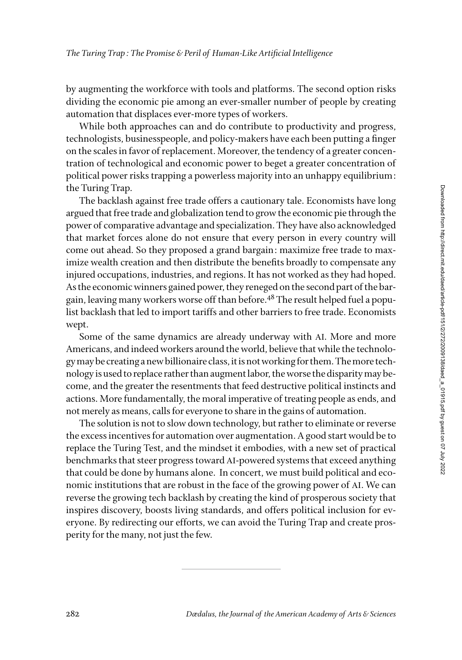by augmenting the workforce with tools and platforms. The second option risks dividing the economic pie among an ever-smaller number of people by creating automation that displaces ever-more types of workers.

While both approaches can and do contribute to productivity and progress, technologists, businesspeople, and policy-makers have each been putting a finger on the scales in favor of replacement. Moreover, the tendency of a greater concentration of technological and economic power to beget a greater concentration of political power risks trapping a powerless majority into an unhappy equilibrium: the Turing Trap.

The backlash against free trade offers a cautionary tale. Economists have long argued that free trade and globalization tend to grow the economic pie through the power of comparative advantage and specialization. They have also acknowledged that market forces alone do not ensure that every person in every country will come out ahead. So they proposed a grand bargain: maximize free trade to maximize wealth creation and then distribute the benefits broadly to compensate any injured occupations, industries, and regions. It has not worked as they had hoped. As the economic winners gained power, they reneged on the second part of the bargain, leaving many workers worse off than before.<sup>48</sup> The result helped fuel a populist backlash that led to import tariffs and other barriers to free trade. Economists wept.

Some of the same dynamics are already underway with AI. More and more Americans, and indeed workers around the world, believe that while the technology may be creating a new billionaire class, it is not working for them. The more technology is used to replace rather than augment labor, the worse the disparity may become, and the greater the resentments that feed destructive political instincts and actions. More fundamentally, the moral imperative of treating people as ends, and not merely as means, calls for everyone to share in the gains of automation.

The solution is not to slow down technology, but rather to eliminate or reverse the excess incentives for automation over augmentation. A good start would be to replace the Turing Test, and the mindset it embodies, with a new set of practical benchmarks that steer progress toward AI-powered systems that exceed anything that could be done by humans alone. In concert, we must build political and economic institutions that are robust in the face of the growing power of AI. We can reverse the growing tech backlash by creating the kind of prosperous society that inspires discovery, boosts living standards, and offers political inclusion for everyone. By redirecting our efforts, we can avoid the Turing Trap and create prosperity for the many, not just the few.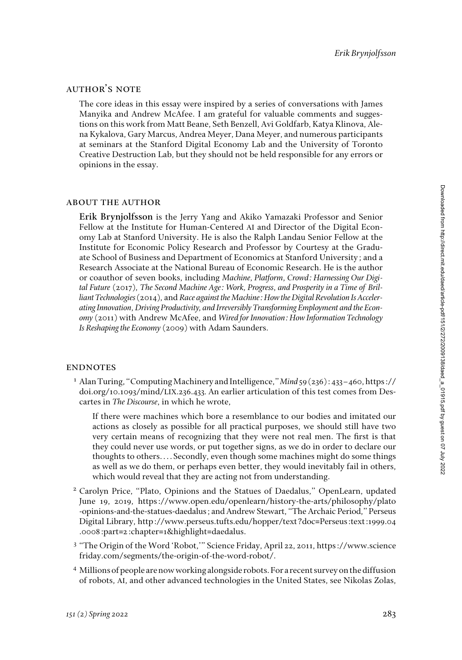#### author's note

The core ideas in this essay were inspired by a series of conversations with James Manyika and Andrew McAfee. I am grateful for valuable comments and suggestions on this work from Matt Beane, Seth Benzell, Avi Goldfarb, Katya Klinova, Alena Kykalova, Gary Marcus, Andrea Meyer, Dana Meyer, and numerous participants at seminars at the Stanford Digital Economy Lab and the University of Toronto Creative Destruction Lab, but they should not be held responsible for any errors or opinions in the essay.

#### about the author

**Erik Brynjolfsson** is the Jerry Yang and Akiko Yamazaki Professor and Senior Fellow at the Institute for Human-Centered AI and Director of the Digital Economy Lab at Stanford University. He is also the Ralph Landau Senior Fellow at the Institute for Economic Policy Research and Professor by Courtesy at the Graduate School of Business and Department of Economics at Stanford University; and a Research Associate at the National Bureau of Economic Research. He is the author or coauthor of seven books, including *Machine, Platform, Crowd: Harnessing Our Digital Future* (2017), *The Second Machine Age: Work, Progress, and Prosperity in a Time of Brilliant Technologies* (2014), and *Race against the Machine: How the Digital Revolution Is Accelerating Innovation, Driving Productivity, and Irreversibly Transforming Employment and the Economy* (2011) with Andrew McAfee, and *Wired for Innovation: How Information Technology Is Reshaping the Economy* (2009) with Adam Saunders.

#### **ENDNOTES**

<sup>1</sup> Alan Turing, "Computing Machinery and Intelligence," *Mind* 59 (236): 433–460, https:// doi.org/10.1093/mind/LIX.236.433*.* An earlier articulation of this test comes from Descartes in *The Discourse*, in which he wrote,

If there were machines which bore a resemblance to our bodies and imitated our actions as closely as possible for all practical purposes, we should still have two very certain means of recognizing that they were not real men. The first is that they could never use words, or put together signs, as we do in order to declare our thoughts to others. . . . Secondly, even though some machines might do some things as well as we do them, or perhaps even better, they would inevitably fail in others, which would reveal that they are acting not from understanding.

- <sup>2</sup> Carolyn Price, "Plato, Opinions and the Statues of Daedalus," OpenLearn, updated June 19, 2019, [https://www.open.edu/openlearn/history-the-arts/philosophy/plato](https://www.open.edu/openlearn/history-the-arts/philosophy/plato-opinions-and-the-statues-daedalus) [-opinions-and-the-statues-daedalus](https://www.open.edu/openlearn/history-the-arts/philosophy/plato-opinions-and-the-statues-daedalus); and Andrew Stewart, "The Archaic Period," Perseus Digital Library, http://www.perseus.tufts.edu/hopper/text?doc=Perseus:text:1999.04 .0008:part=2:chapter=1&highlight=daedalus.
- <sup>3</sup> "The Origin of the Word 'Robot,'" Science Friday, April 22, 2011, [https://www.science](https://www.sciencefriday.com/segments/the-origin-of-the-word-robot/) [friday.com/segments/the-origin-of-the-word-robot/.](https://www.sciencefriday.com/segments/the-origin-of-the-word-robot/)
- <sup>4</sup> Millions of people are now working alongside robots. For a recent survey on the diffusion of robots, AI, and other advanced technologies in the United States, see Nikolas Zolas,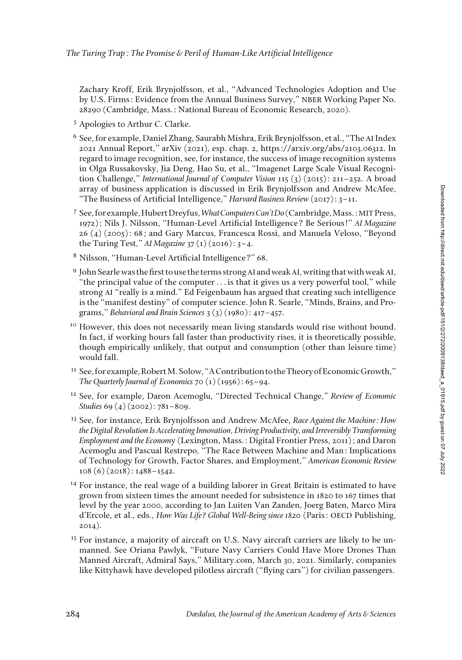Zachary Kroff, Erik Brynjolfsson, et al., "Advanced Technologies Adoption and Use by U.S. Firms: Evidence from the Annual Business Survey," NBER Working Paper No. 28290 (Cambridge, Mass.: National Bureau of Economic Research, 2020).

- <sup>5</sup> Apologies to Arthur C. Clarke.
- <sup>6</sup> See, for example, Daniel Zhang, Saurabh Mishra, Erik Brynjolfsson, et al., "The AI Index 2021 Annual Report," arXiv (2021), esp. chap. 2, https://arxiv.org/abs/2103.06312. In regard to image recognition, see, for instance, the success of image recognition systems in Olga Russakovsky, Jia Deng, Hao Su, et al., "Imagenet Large Scale Visual Recognition Challenge," *International Journal of Computer Vision* 115 (3) (2015): 211–252. A broad array of business application is discussed in Erik Brynjolfsson and Andrew McAfee, "The Business of Artificial Intelligence," *Harvard Business Review* (2017): 3–11.
- <sup>7</sup> See, for example, Hubert Dreyfus, *What Computers Can't Do* (Cambridge, Mass.: MIT Press, 1972); Nils J. Nilsson, "Human-Level Artificial Intelligence? Be Serious!" *AI Magazine* 26 (4) (2005): 68; and Gary Marcus, Francesca Rossi, and Manuela Veloso, "Beyond the Turing Test," *AI Magazine* 37 (1) (2016): 3–4.
- <sup>8</sup> Nilsson, "Human-Level Artificial Intelligence?" 68.
- <sup>9</sup> John Searle was the first to use the terms strong AI and weak AI, writing that with weak AI, "the principal value of the computer . . . is that it gives us a very powerful tool," while strong AI "really is a mind." Ed Feigenbaum has argued that creating such intelligence is the "manifest destiny" of computer science. John R. Searle, "Minds, Brains, and Programs," *Behavioral and Brain Sciences* 3 (3) (1980): 417–457.
- However, this does not necessarily mean living standards would rise without bound. In fact, if working hours fall faster than productivity rises, it is theoretically possible, though empirically unlikely, that output and consumption (other than leisure time) would fall.
- <sup>11</sup> See, for example, Robert M. Solow, "A Contribution to the Theory of Economic Growth," *The Quarterly Journal of Economics* 70 (1) (1956): 65–94.
- <sup>12</sup> See, for example, Daron Acemoglu, "Directed Technical Change," *Review of Economic Studies* 69 (4) (2002): 781–809.
- <sup>13</sup> See, for instance, Erik Brynjolfsson and Andrew McAfee, *Race Against the Machine: How the Digital Revolution Is Accelerating Innovation, Driving Productivity, and Irreversibly Transforming Employment and the Econom*y (Lexington, Mass.: Digital Frontier Press, 2011); and Daron Acemoglu and Pascual Restrepo, "The Race Between Machine and Man: Implications of Technology for Growth, Factor Shares, and Employment," *American Economic Review* 108 (6) (2018): 1488–1542.
- <sup>14</sup> For instance, the real wage of a building laborer in Great Britain is estimated to have grown from sixteen times the amount needed for subsistence in 1820 to 167 times that level by the year 2000, according to Jan Luiten Van Zanden, Joerg Baten, Marco Mira d'Ercole, et al., eds., *How Was Life? Global Well-Being since 1820* (Paris: OECD Publishing, 2014).
- <sup>15</sup> For instance, a majority of aircraft on U.S. Navy aircraft carriers are likely to be unmanned. See Oriana Pawlyk, "Future Navy Carriers Could Have More Drones Than Manned Aircraft, Admiral Says," Military.com, March 30, 2021. Similarly, companies like Kittyhawk have developed pilotless aircraft ("flying cars") for civilian passengers.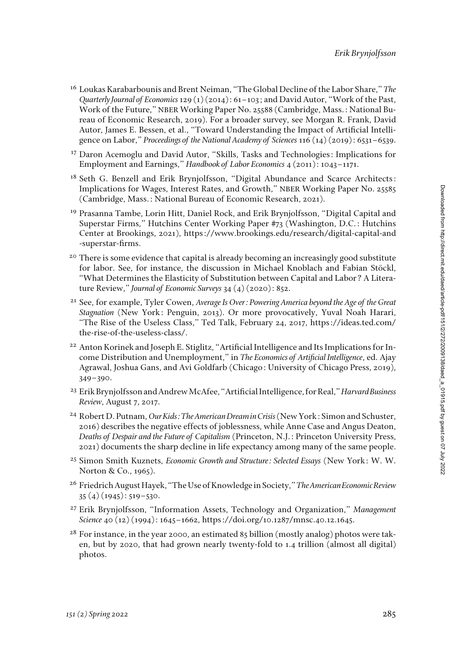- <sup>16</sup> Loukas Karabarbounis and Brent Neiman, "The Global Decline of the Labor Share," *The Quarterly Journal of Economics* 129 (1) (2014): 61–103; and David Autor, "Work of the Past, Work of the Future," NBER Working Paper No. 25588 (Cambridge, Mass.: National Bureau of Economic Research, 2019). For a broader survey, see Morgan R. Frank, David Autor, James E. Bessen, et al., "Toward Understanding the Impact of Artificial Intelligence on Labor," *Proceedings of the National Academy of Sciences* 116 (14) (2019): 6531–6539.
- <sup>17</sup> Daron Acemoglu and David Autor, "Skills, Tasks and Technologies: Implications for Employment and Earnings," *Handbook of Labor Economics* 4 (2011): 1043–1171.
- <sup>18</sup> Seth G. Benzell and Erik Brynjolfsson, "Digital Abundance and Scarce Architects: Implications for Wages, Interest Rates, and Growth," NBER Working Paper No. 25585 (Cambridge, Mass.: National Bureau of Economic Research, 2021).
- <sup>19</sup> Prasanna Tambe, Lorin Hitt, Daniel Rock, and Erik Brynjolfsson, "Digital Capital and Superstar Firms," Hutchins Center Working Paper #73 (Washington, D.C.: Hutchins Center at Brookings, 2021), https://www.brookings.edu/research/digital-capital-and -superstar-firms.
- <sup>20</sup> There is some evidence that capital is already becoming an increasingly good substitute for labor. See, for instance, the discussion in Michael Knoblach and Fabian Stöckl, "What Determines the Elasticity of Substitution between Capital and Labor? A Literature Review," *Journal of Economic Surveys* 34 (4) (2020): 852.
- <sup>21</sup> See, for example, Tyler Cowen, *Average Is Over: Powering America beyond the Age of the Great Stagnation* (New York: Penguin, 2013). Or more provocatively, Yuval Noah Harari, "The Rise of the Useless Class," Ted Talk, February 24, 2017, [https://ideas.ted.com/](https://ideas.ted.com/the-rise-of-the-useless-class/) [the-rise-of-the-useless-class/](https://ideas.ted.com/the-rise-of-the-useless-class/).
- <sup>22</sup> Anton Korinek and Joseph E. Stiglitz, "Artificial Intelligence and Its Implications for Income Distribution and Unemployment," in *The Economics of Artificial Intelligence*, ed. Ajay Agrawal, Joshua Gans, and Avi Goldfarb (Chicago: University of Chicago Press, 2019), 349–390.
- <sup>23</sup> Erik Brynjolfsson and Andrew McAfee, "Artificial Intelligence, for Real," *Harvard Business Review*, August 7, 2017.
- <sup>24</sup> Robert D. Putnam, *Our Kids: The American Dream in Crisis* (New York: Simon and Schuster, 2016) describes the negative effects of joblessness, while Anne Case and Angus Deaton, *Deaths of Despair and the Future of Capitalism* (Princeton, N.J.: Princeton University Press, 2021) documents the sharp decline in life expectancy among many of the same people.
- <sup>25</sup> Simon Smith Kuznets, *Economic Growth and Structure: Selected Essays* (New York: W. W. Norton & Co., 1965).
- <sup>26</sup> Friedrich August Hayek, "The Use of Knowledge in Society," *The American Economic Review* 35 (4) (1945): 519–530.
- <sup>27</sup> Erik Brynjolfsson, "Information Assets, Technology and Organization," *Management Science* 40 (12) (1994): 1645–1662, https://doi.org/10.1287/mnsc.40.12.1645.
- $28$  For instance, in the year 2000, an estimated 85 billion (mostly analog) photos were taken, but by 2020, that had grown nearly twenty-fold to 1.4 trillion (almost all digital) photos.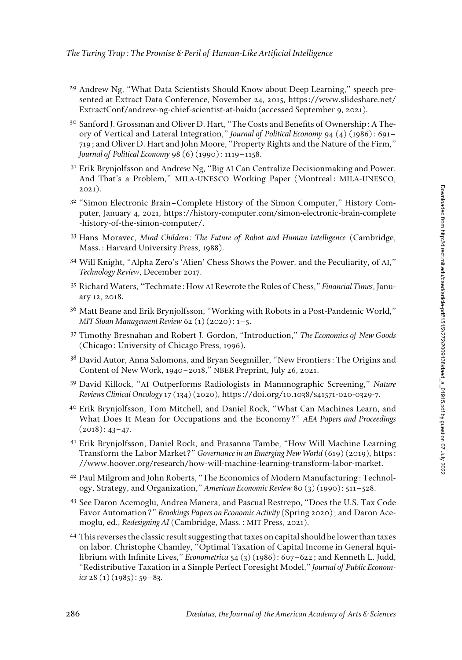- <sup>29</sup> Andrew Ng, "What Data Scientists Should Know about Deep Learning," speech presented at Extract Data Conference, November 24, 2015, https://www.slideshare.net/ ExtractConf/andrew-ng-chief-scientist-at-baidu (accessed September 9, 2021).
- <sup>30</sup> Sanford J. Grossman and Oliver D. Hart, "The Costs and Benefits of Ownership: A Theory of Vertical and Lateral Integration," *Journal of Political Economy* 94 (4) (1986): 691– 719; and Oliver D. Hart and John Moore, "Property Rights and the Nature of the Firm," *Journal of Political Economy* 98 (6) (1990): 1119–1158.
- <sup>31</sup> Erik Brynjolfsson and Andrew Ng, "Big AI Can Centralize Decisionmaking and Power. And That's a Problem," MILA-UNESCO Working Paper (Montreal: MILA-UNESCO, 2021).
- <sup>32</sup> "Simon Electronic Brain–Complete History of the Simon Computer," History Computer, January 4, 2021, [https://history-computer.com/simon-electronic-brain-complete](https://history-computer.com/simon-electronic-brain-complete-history-of-the-simon-computer/) [-history-of-the-simon-computer/.](https://history-computer.com/simon-electronic-brain-complete-history-of-the-simon-computer/)
- <sup>33</sup> Hans Moravec, *Mind Children: The Future of Robot and Human Intelligence* (Cambridge, Mass.: Harvard University Press, 1988).
- <sup>34</sup> Will Knight, "Alpha Zero's 'Alien' Chess Shows the Power, and the Peculiarity, of AI," *Technology Review*, December 2017.
- <sup>35</sup> Richard Waters, "Techmate: How AI Rewrote the Rules of Chess," *Financial Times*, January 12, 2018.
- <sup>36</sup> Matt Beane and Erik Brynjolfsson, "Working with Robots in a Post-Pandemic World," *MIT Sloan Management Review* 62 (1) (2020): 1–5.
- <sup>37</sup> Timothy Bresnahan and Robert J. Gordon, "Introduction," *The Economics of New Goods* (Chicago: University of Chicago Press, 1996).
- <sup>38</sup> David Autor, Anna Salomons, and Bryan Seegmiller, "New Frontiers: The Origins and Content of New Work, 1940–2018," NBER Preprint, July 26, 2021.
- <sup>39</sup> David Killock, "AI Outperforms Radiologists in Mammographic Screening," *Nature Reviews Clinical Oncology* 17 (134) (2020), https://doi.org/10.1038/s41571-020-0329-7.
- <sup>40</sup> Erik Brynjolfsson, Tom Mitchell, and Daniel Rock, "What Can Machines Learn, and What Does It Mean for Occupations and the Economy?" *AEA Papers and Proceedings*  $(2018): 43-47.$
- <sup>41</sup> Erik Brynjolfsson, Daniel Rock, and Prasanna Tambe, "How Will Machine Learning Transform the Labor Market?" *Governance in an Emerging New World* (619) (2019), [https:](https://www.hoover.org/research/how-will-machine-learning-transform-labor-market.) [//www.hoover.org/research/how-will-machine-learning-transform-labor-market.](https://www.hoover.org/research/how-will-machine-learning-transform-labor-market.)
- <sup>42</sup> Paul Milgrom and John Roberts, "The Economics of Modern Manufacturing: Technology, Strategy, and Organization," *American Economic Review* 80 (3) (1990): 511–528.
- <sup>43</sup> See Daron Acemoglu, Andrea Manera, and Pascual Restrepo, "Does the U.S. Tax Code Favor Automation?" *Brookings Papers on Economic Activity* (Spring 2020); and Daron Acemoglu, ed., *Redesigning AI* (Cambridge, Mass.: MIT Press, 2021).
- <sup>44</sup> This reverses the classic result suggesting that taxes on capital should be lower than taxes on labor. Christophe Chamley, "Optimal Taxation of Capital Income in General Equilibrium with Infinite Lives," *Econometrica* 54 (3) (1986): 607–622; and Kenneth L. Judd, "Redistributive Taxation in a Simple Perfect Foresight Model," *Journal of Public Economics* 28 (1) (1985): 59–83.